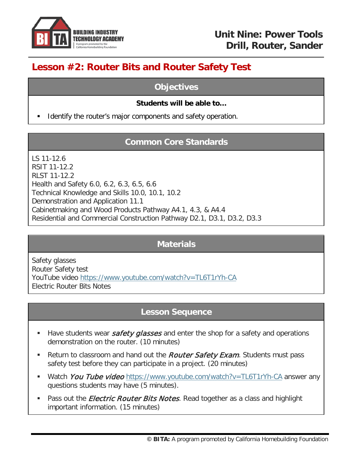

# **Lesson #2: Router Bits and Router Safety Test**

#### **Objectives**

#### **Students will be able to…**

Identify the router's major components and safety operation.

# **Common Core Standards**

LS 11-12.6 RSIT 11-12.2 RLST 11-12.2 Health and Safety 6.0, 6.2, 6.3, 6.5, 6.6 Technical Knowledge and Skills 10.0, 10.1, 10.2 Demonstration and Application 11.1 Cabinetmaking and Wood Products Pathway A4.1, 4.3, & A4.4 Residential and Commercial Construction Pathway D2.1, D3.1, D3.2, D3.3

### **Materials**

Safety glasses Router Safety test YouTube video<https://www.youtube.com/watch?v=TL6T1rYh-CA> Electric Router Bits Notes

### **Lesson Sequence**

- Have students wear *safety glasses* and enter the shop for a safety and operations demonstration on the router. (10 minutes)
- Return to classroom and hand out the *Router Safety Exam*. Students must pass safety test before they can participate in a project. (20 minutes)
- Watch You Tube video <https://www.youtube.com/watch?v=TL6T1rYh-CA> answer any questions students may have (5 minutes).
- Pass out the *Electric Router Bits Notes*. Read together as a class and highlight important information. (15 minutes)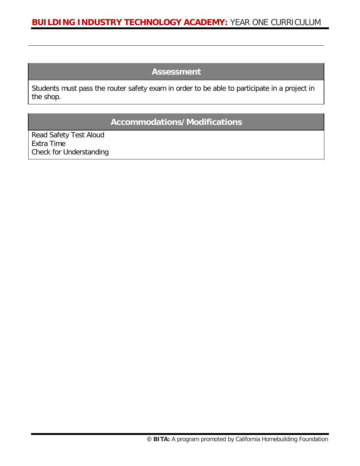#### **Assessment**

Students must pass the router safety exam in order to be able to participate in a project in the shop.

#### **Accommodations/Modifications**

Read Safety Test Aloud Extra Time Check for Understanding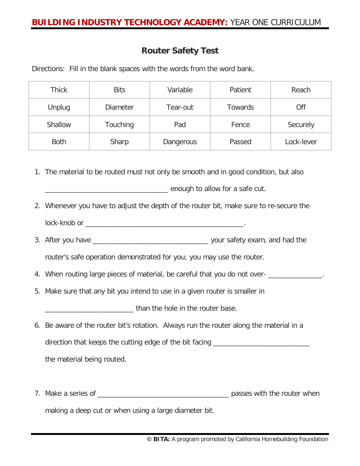#### **Router Safety Test**

Directions: Fill in the blank spaces with the words from the word bank.

| <b>Thick</b> | <b>Bits</b>     | Variable  | Patient | Reach      |
|--------------|-----------------|-----------|---------|------------|
| Unplug       | <b>Diameter</b> | Tear-out  | Towards | Off        |
| Shallow      | Touching        | Pad       | Fence   | Securely   |
| <b>Both</b>  | Sharp           | Dangerous | Passed  | Lock-lever |

1. The material to be routed must not only be smooth and in good condition, but also

\_\_\_\_\_\_\_\_\_\_\_\_\_\_\_\_\_\_\_\_\_\_\_\_\_\_\_\_\_\_\_\_ enough to allow for a safe cut.

- 2. Whenever you have to adjust the depth of the router bit, make sure to re-secure the lock-knob or \_\_\_\_\_\_\_\_\_\_\_\_\_\_\_\_\_\_\_\_\_\_\_\_\_\_\_\_\_\_\_\_\_\_\_\_\_\_\_\_\_.
- 3. After you have \_\_\_\_\_\_\_\_\_\_\_\_\_\_\_\_\_\_\_\_\_\_\_\_\_\_\_\_\_\_ your safety exam, and had the

router's safe operation demonstrated for you; you may use the router.

- 4. When routing large pieces of material, be careful that you do not over-
- 5. Make sure that any bit you intend to use in a given router is smaller in

\_\_\_\_\_\_\_\_\_\_\_\_\_\_\_\_\_\_\_\_\_\_\_ than the hole in the router base.

- 6. Be aware of the router bit's rotation. Always run the router along the material in a direction that keeps the cutting edge of the bit facing \_\_\_\_\_\_\_\_\_\_\_\_\_\_\_\_\_\_\_\_\_\_\_\_ the material being routed.
- 7. Make a series of \_\_\_\_\_\_\_\_\_\_\_\_\_\_\_\_\_\_\_\_\_\_\_\_\_\_\_\_\_\_\_\_\_\_ passes with the router when making a deep cut or when using a large diameter bit.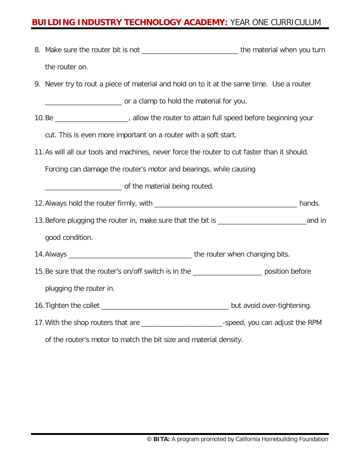- 8. Make sure the router bit is not \_\_\_\_\_\_\_\_\_\_\_\_\_\_\_\_\_\_\_\_\_\_\_\_\_\_\_\_\_\_\_\_\_the material when you turn the router on.
- 9. Never try to rout a piece of material and hold on to it at the same time. Use a router

\_\_\_\_\_\_\_\_\_\_\_\_\_\_\_\_\_\_\_\_ or a clamp to hold the material for you.

10.Be \_\_\_\_\_\_\_\_\_\_\_\_\_\_\_\_\_\_\_, allow the router to attain full speed before beginning your

cut. This is even more important on a router with a soft start.

11.As will all our tools and machines, never force the router to cut faster than it should.

Forcing can damage the router's motor and bearings, while causing

\_\_\_\_\_\_\_\_\_\_\_\_\_\_\_\_\_\_\_\_ of the material being routed.

- 12.Always hold the router firmly, with \_\_\_\_\_\_\_\_\_\_\_\_\_\_\_\_\_\_\_\_\_\_\_\_\_\_\_\_\_\_\_\_\_\_\_\_\_ hands.
- 13. Before plugging the router in, make sure that the bit is <u>a said</u> in the same in good condition.

14.Always \_\_\_\_\_\_\_\_\_\_\_\_\_\_\_\_\_\_\_\_\_\_\_\_\_\_\_\_\_\_\_\_ the router when changing bits.

- 15.Be sure that the router's on/off switch is in the \_\_\_\_\_\_\_\_\_\_\_\_\_\_\_\_\_\_ position before plugging the router in.
- 16.Tighten the collet \_\_\_\_\_\_\_\_\_\_\_\_\_\_\_\_\_\_\_\_\_\_\_\_\_\_\_\_\_\_\_\_\_ but avoid over-tightening.
- 17.With the shop routers that are \_\_\_\_\_\_\_\_\_\_\_\_\_\_\_\_\_\_\_\_\_-speed, you can adjust the RPM

of the router's motor to match the bit size and material density.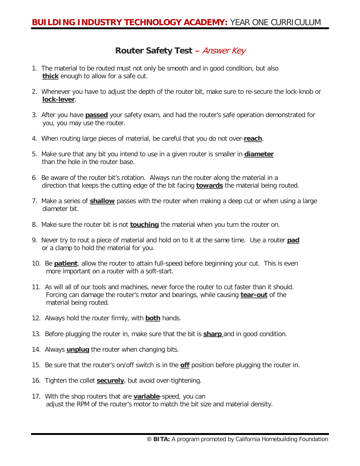# **Router Safety Test** – Answer Key

- 1. The material to be routed must not only be smooth and in good condition, but also **thick** enough to allow for a safe cut.
- 2. Whenever you have to adjust the depth of the router bit, make sure to re-secure the lock-knob or **lock-lever**.
- 3. After you have **passed** your safety exam, and had the router's safe operation demonstrated for you, you may use the router.
- 4. When routing large pieces of material, be careful that you do not over-**reach**.
- 5. Make sure that any bit you intend to use in a given router is smaller in **diameter** than the hole in the router base.
- 6. Be aware of the router bit's rotation. Always run the router along the material in a direction that keeps the cutting edge of the bit facing **towards** the material being routed.
- 7. Make a series of **shallow** passes with the router when making a deep cut or when using a large diameter bit.
- 8. Make sure the router bit is not **touching** the material when you turn the router on.
- 9. Never try to rout a piece of material and hold on to it at the same time. Use a router **pad** or a clamp to hold the material for you.
- 10. Be **patient**, allow the router to attain full-speed before beginning your cut. This is even more important on a router with a soft-start.
- 11. As will all of our tools and machines, never force the router to cut faster than it should. Forcing can damage the router's motor and bearings, while causing **tear-out** of the material being routed.
- 12. Always hold the router firmly, with **both** hands.
- 13. Before plugging the router in, make sure that the bit is **sharp** and in good condition.
- 14. Always **unplug** the router when changing bits.
- 15. Be sure that the router's on/off switch is in the **off** position before plugging the router in.
- 16. Tighten the collet **securely**, but avoid over-tightening.
- 17. With the shop routers that are **variable**-speed, you can adjust the RPM of the router's motor to match the bit size and material density.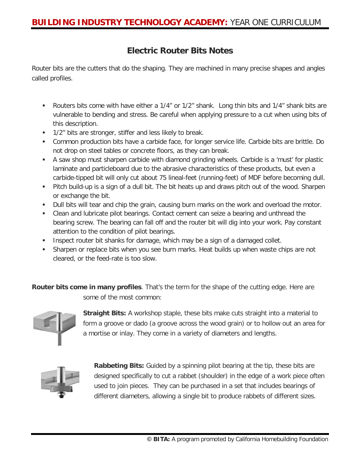### **Electric Router Bits Notes**

Router bits are the cutters that do the shaping. They are machined in many precise shapes and angles called profiles.

- Routers bits come with have either a 1/4" or 1/2" shank. Long thin bits and 1/4" shank bits are vulnerable to bending and stress. Be careful when applying pressure to a cut when using bits of this description.
- **1/2"** bits are stronger, stiffer and less likely to break.
- Common production bits have a carbide face, for longer service life. Carbide bits are brittle. Do not drop on steel tables or concrete floors, as they can break.
- A saw shop must sharpen carbide with diamond grinding wheels. Carbide is a 'must' for plastic laminate and particleboard due to the abrasive characteristics of these products, but even a carbide-tipped bit will only cut about 75 lineal-feet (running-feet) of MDF before becoming dull.
- Pitch build-up is a sign of a dull bit. The bit heats up and draws pitch out of the wood. Sharpen or exchange the bit.
- Dull bits will tear and chip the grain, causing burn marks on the work and overload the motor.
- Clean and lubricate pilot bearings. Contact cement can seize a bearing and unthread the bearing screw. The bearing can fall off and the router bit will dig into your work. Pay constant attention to the condition of pilot bearings.
- **Inspect router bit shanks for damage, which may be a sign of a damaged collet.**
- Sharpen or replace bits when you see burn marks. Heat builds up when waste chips are not cleared, or the feed-rate is too slow.

**Router bits come in many profiles**. That's the term for the shape of the cutting edge. Here are some of the most common:



**Straight Bits:** A workshop staple, these bits make cuts straight into a material to form a groove or dado (a groove across the wood grain) or to hollow out an area for a mortise or inlay. They come in a variety of diameters and lengths.



**Rabbeting Bits:** Guided by a spinning pilot bearing at the tip, these bits are designed specifically to cut a rabbet (shoulder) in the edge of a work piece often used to join pieces. They can be purchased in a set that includes bearings of different diameters, allowing a single bit to produce rabbets of different sizes.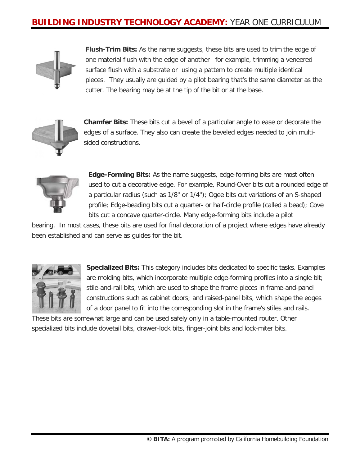

**Flush-Trim Bits:** As the name suggests, these bits are used to trim the edge of one material flush with the edge of another– for example, trimming a veneered surface flush with a substrate or using a pattern to create multiple identical pieces. They usually are guided by a pilot bearing that's the same diameter as the cutter. The bearing may be at the tip of the bit or at the base.



**Chamfer Bits:** These bits cut a bevel of a particular angle to ease or decorate the edges of a surface. They also can create the beveled edges needed to join multisided constructions.



**Edge-Forming Bits:** As the name suggests, edge-forming bits are most often used to cut a decorative edge. For example, Round-Over bits cut a rounded edge of a particular radius (such as 1/8" or 1/4"); Ogee bits cut variations of an S-shaped profile; Edge-beading bits cut a quarter- or half-circle profile (called a bead); Cove bits cut a concave quarter-circle. Many edge-forming bits include a pilot

bearing. In most cases, these bits are used for final decoration of a project where edges have already been established and can serve as guides for the bit.



**Specialized Bits:** This category includes bits dedicated to specific tasks. Examples are molding bits, which incorporate multiple edge-forming profiles into a single bit; stile-and-rail bits, which are used to shape the frame pieces in frame-and-panel constructions such as cabinet doors; and raised-panel bits, which shape the edges of a door panel to fit into the corresponding slot in the frame's stiles and rails.

These bits are somewhat large and can be used safely only in a table-mounted router. Other specialized bits include dovetail bits, drawer-lock bits, finger-joint bits and lock-miter bits.